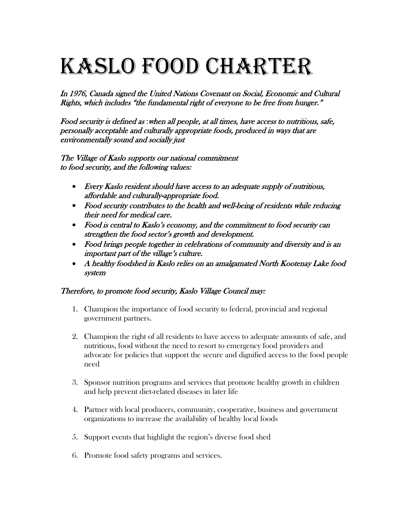## Kaslo Food Charter

In 1976, Canada signed the United Nations Covenant on Social, Economic and Cultural Rights, which includes "the fundamental right of everyone to be free from hunger."

Food security is defined as :when all people, at all times, have access to nutritious, safe, personally acceptable and culturally appropriate foods, produced in ways that are environmentally sound and socially just

The Village of Kaslo supports our national commitment to food security, and the following values:

- Every Kaslo resident should have access to an adequate supply of nutritious, affordable and culturally-appropriate food.
- Food security contributes to the health and well-being of residents while reducing their need for medical care.
- Food is central to Kaslo's economy, and the commitment to food security can strengthen the food sector's growth and development.
- Food brings people together in celebrations of community and diversity and is an important part of the village's culture.
- A healthy foodshed in Kaslo relies on an amalgamated North Kootenay Lake food system

## Therefore, to promote food security, Kaslo Village Council may:

- 1. Champion the importance of food security to federal, provincial and regional government partners.
- 2. Champion the right of all residents to have access to adequate amounts of safe, and nutritious, food without the need to resort to emergency food providers and advocate for policies that support the secure and dignified access to the food people need
- 3. Sponsor nutrition programs and services that promote healthy growth in children and help prevent diet-related diseases in later life
- 4. Partner with local producers, community, cooperative, business and government organizations to increase the availability of healthy local foods
- 5. Support events that highlight the region's diverse food shed
- 6. Promote food safety programs and services.